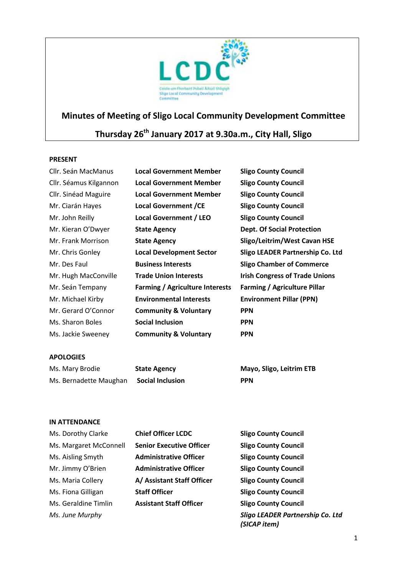

# **Minutes of Meeting of Sligo Local Community Development Committee**

# **Thursday 26 th January 2017 at 9.30a.m., City Hall, Sligo**

#### **PRESENT**

| Cllr. Seán MacManus    | <b>Local Government Member</b>         | <b>Sligo County Council</b>           |
|------------------------|----------------------------------------|---------------------------------------|
| Cllr. Séamus Kilgannon | <b>Local Government Member</b>         | <b>Sligo County Council</b>           |
| Cllr. Sinéad Maguire   | <b>Local Government Member</b>         | <b>Sligo County Council</b>           |
| Mr. Ciarán Hayes       | <b>Local Government / CE</b>           | <b>Sligo County Council</b>           |
| Mr. John Reilly        | <b>Local Government / LEO</b>          | <b>Sligo County Council</b>           |
| Mr. Kieran O'Dwyer     | <b>State Agency</b>                    | <b>Dept. Of Social Protection</b>     |
| Mr. Frank Morrison     | <b>State Agency</b>                    | Sligo/Leitrim/West Cavan HSE          |
| Mr. Chris Gonley       | <b>Local Development Sector</b>        | Sligo LEADER Partnership Co. Ltd      |
| Mr. Des Faul           | <b>Business Interests</b>              | <b>Sligo Chamber of Commerce</b>      |
| Mr. Hugh MacConville   | <b>Trade Union Interests</b>           | <b>Irish Congress of Trade Unions</b> |
| Mr. Seán Tempany       | <b>Farming / Agriculture Interests</b> | <b>Farming / Agriculture Pillar</b>   |
| Mr. Michael Kirby      | <b>Environmental Interests</b>         | <b>Environment Pillar (PPN)</b>       |
| Mr. Gerard O'Connor    | <b>Community &amp; Voluntary</b>       | <b>PPN</b>                            |
| Ms. Sharon Boles       | <b>Social Inclusion</b>                | <b>PPN</b>                            |
| Ms. Jackie Sweeney     | <b>Community &amp; Voluntary</b>       | <b>PPN</b>                            |
|                        |                                        |                                       |
| <b>APOLOGIES</b>       |                                        |                                       |

| Ms. Mary Brodie        | <b>State Agency</b>     | Mayo, Sligo, Leitrim ETB |
|------------------------|-------------------------|--------------------------|
| Ms. Bernadette Maughan | <b>Social Inclusion</b> | <b>PPN</b>               |

#### **IN ATTENDANCE**

| Ms. Dorothy Clarke     | <b>Chief Officer LCDC</b>       | <b>Sligo County Council</b>                             |
|------------------------|---------------------------------|---------------------------------------------------------|
| Ms. Margaret McConnell | <b>Senior Executive Officer</b> | <b>Sligo County Council</b>                             |
| Ms. Aisling Smyth      | <b>Administrative Officer</b>   | <b>Sligo County Council</b>                             |
| Mr. Jimmy O'Brien      | <b>Administrative Officer</b>   | <b>Sligo County Council</b>                             |
| Ms. Maria Collery      | A/ Assistant Staff Officer      | <b>Sligo County Council</b>                             |
| Ms. Fiona Gilligan     | <b>Staff Officer</b>            | <b>Sligo County Council</b>                             |
| Ms. Geraldine Timlin   | <b>Assistant Staff Officer</b>  | <b>Sligo County Council</b>                             |
| Ms. June Murphy        |                                 | <b>Sligo LEADER Partnership Co. Ltd</b><br>(SICAP item) |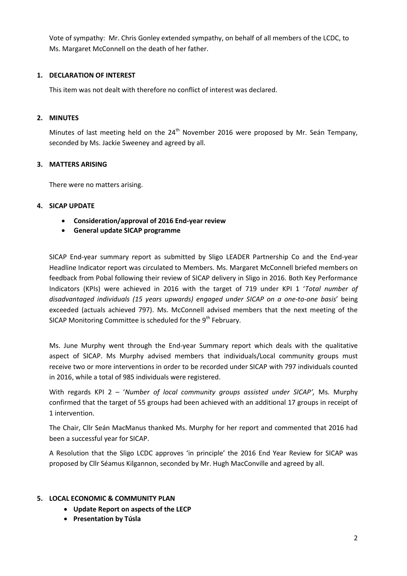Vote of sympathy: Mr. Chris Gonley extended sympathy, on behalf of all members of the LCDC, to Ms. Margaret McConnell on the death of her father.

### **1. DECLARATION OF INTEREST**

This item was not dealt with therefore no conflict of interest was declared.

#### **2. MINUTES**

Minutes of last meeting held on the 24<sup>th</sup> November 2016 were proposed by Mr. Seán Tempany, seconded by Ms. Jackie Sweeney and agreed by all.

## **3. MATTERS ARISING**

There were no matters arising.

#### **4. SICAP UPDATE**

- **Consideration/approval of 2016 End-year review**
- **General update SICAP programme**

SICAP End-year summary report as submitted by Sligo LEADER Partnership Co and the End-year Headline Indicator report was circulated to Members. Ms. Margaret McConnell briefed members on feedback from Pobal following their review of SICAP delivery in Sligo in 2016. Both Key Performance Indicators (KPIs) were achieved in 2016 with the target of 719 under KPI 1 '*Total number of disadvantaged individuals (15 years upwards) engaged under SICAP on a one-to-one basis*' being exceeded (actuals achieved 797). Ms. McConnell advised members that the next meeting of the SICAP Monitoring Committee is scheduled for the  $9<sup>th</sup>$  February.

Ms. June Murphy went through the End-year Summary report which deals with the qualitative aspect of SICAP. Ms Murphy advised members that individuals/Local community groups must receive two or more interventions in order to be recorded under SICAP with 797 individuals counted in 2016, while a total of 985 individuals were registered.

With regards KPI 2 – '*Number of local community groups assisted under SICAP',* Ms. Murphy confirmed that the target of 55 groups had been achieved with an additional 17 groups in receipt of 1 intervention.

The Chair, Cllr Seán MacManus thanked Ms. Murphy for her report and commented that 2016 had been a successful year for SICAP.

A Resolution that the Sligo LCDC approves 'in principle' the 2016 End Year Review for SICAP was proposed by Cllr Séamus Kilgannon, seconded by Mr. Hugh MacConville and agreed by all.

#### **5. LOCAL ECONOMIC & COMMUNITY PLAN**

- **Update Report on aspects of the LECP**
- **Presentation by Túsla**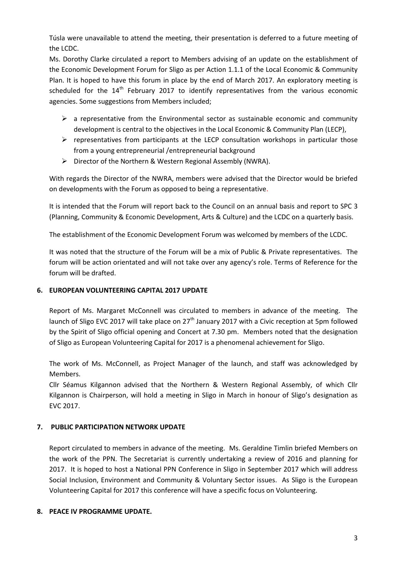Túsla were unavailable to attend the meeting, their presentation is deferred to a future meeting of the LCDC.

Ms. Dorothy Clarke circulated a report to Members advising of an update on the establishment of the Economic Development Forum for Sligo as per Action 1.1.1 of the Local Economic & Community Plan. It is hoped to have this forum in place by the end of March 2017. An exploratory meeting is scheduled for the  $14<sup>th</sup>$  February 2017 to identify representatives from the various economic agencies. Some suggestions from Members included;

- $\triangleright$  a representative from the Environmental sector as sustainable economic and community development is central to the objectives in the Local Economic & Community Plan (LECP),
- $\triangleright$  representatives from participants at the LECP consultation workshops in particular those from a young entrepreneurial /entrepreneurial background
- $\triangleright$  Director of the Northern & Western Regional Assembly (NWRA).

With regards the Director of the NWRA, members were advised that the Director would be briefed on developments with the Forum as opposed to being a representative.

It is intended that the Forum will report back to the Council on an annual basis and report to SPC 3 (Planning, Community & Economic Development, Arts & Culture) and the LCDC on a quarterly basis.

The establishment of the Economic Development Forum was welcomed by members of the LCDC.

It was noted that the structure of the Forum will be a mix of Public & Private representatives. The forum will be action orientated and will not take over any agency's role. Terms of Reference for the forum will be drafted.

#### **6. EUROPEAN VOLUNTEERING CAPITAL 2017 UPDATE**

Report of Ms. Margaret McConnell was circulated to members in advance of the meeting. The launch of Sligo EVC 2017 will take place on 27<sup>th</sup> January 2017 with a Civic reception at 5pm followed by the Spirit of Sligo official opening and Concert at 7.30 pm. Members noted that the designation of Sligo as European Volunteering Capital for 2017 is a phenomenal achievement for Sligo.

The work of Ms. McConnell, as Project Manager of the launch, and staff was acknowledged by Members.

Cllr Séamus Kilgannon advised that the Northern & Western Regional Assembly, of which Cllr Kilgannon is Chairperson, will hold a meeting in Sligo in March in honour of Sligo's designation as EVC 2017.

# **7. PUBLIC PARTICIPATION NETWORK UPDATE**

Report circulated to members in advance of the meeting. Ms. Geraldine Timlin briefed Members on the work of the PPN. The Secretariat is currently undertaking a review of 2016 and planning for 2017. It is hoped to host a National PPN Conference in Sligo in September 2017 which will address Social Inclusion, Environment and Community & Voluntary Sector issues. As Sligo is the European Volunteering Capital for 2017 this conference will have a specific focus on Volunteering.

#### **8. PEACE IV PROGRAMME UPDATE.**